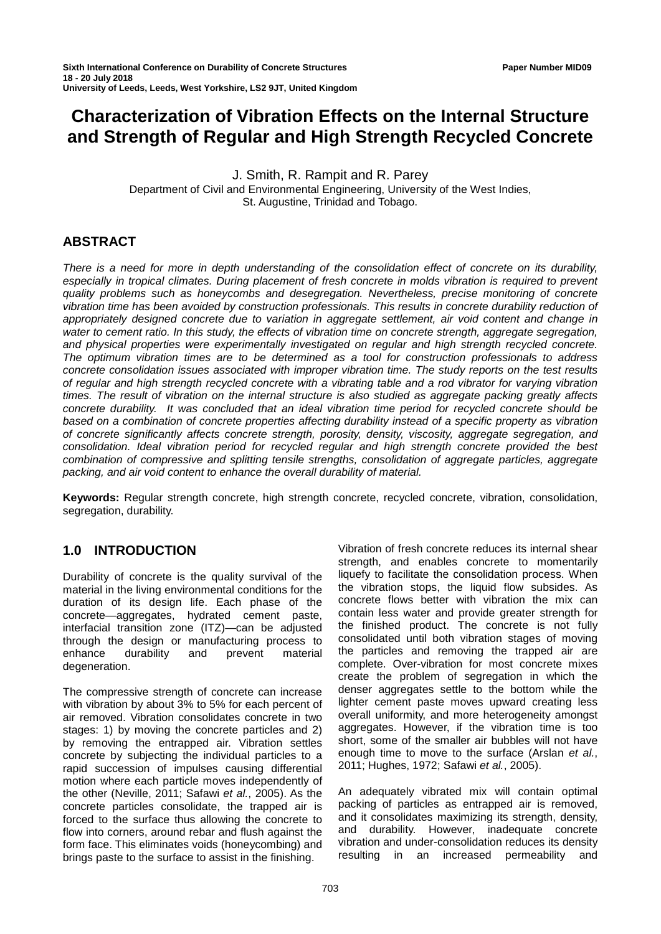# **Characterization of Vibration Effects on the Internal Structure and Strength of Regular and High Strength Recycled Concrete**

J. Smith, R. Rampit and R. Parey Department of Civil and Environmental Engineering, University of the West Indies, St. Augustine, Trinidad and Tobago.

### **ABSTRACT**

*There is a need for more in depth understanding of the consolidation effect of concrete on its durability,*  especially in tropical climates. During placement of fresh concrete in molds vibration is required to prevent *quality problems such as honeycombs and desegregation. Nevertheless, precise monitoring of concrete vibration time has been avoided by construction professionals. This results in concrete durability reduction of appropriately designed concrete due to variation in aggregate settlement, air void content and change in water to cement ratio. In this study, the effects of vibration time on concrete strength, aggregate segregation, and physical properties were experimentally investigated on regular and high strength recycled concrete. The optimum vibration times are to be determined as a tool for construction professionals to address concrete consolidation issues associated with improper vibration time. The study reports on the test results of regular and high strength recycled concrete with a vibrating table and a rod vibrator for varying vibration times. The result of vibration on the internal structure is also studied as aggregate packing greatly affects concrete durability. It was concluded that an ideal vibration time period for recycled concrete should be based on a combination of concrete properties affecting durability instead of a specific property as vibration of concrete significantly affects concrete strength, porosity, density, viscosity, aggregate segregation, and consolidation. Ideal vibration period for recycled regular and high strength concrete provided the best combination of compressive and splitting tensile strengths, consolidation of aggregate particles, aggregate packing, and air void content to enhance the overall durability of material.* 

**Keywords:** Regular strength concrete, high strength concrete, recycled concrete, vibration, consolidation, segregation, durability.

# **1.0 INTRODUCTION**

Durability of concrete is the quality survival of the material in the living environmental conditions for the duration of its design life. Each phase of the concrete—aggregates, hydrated cement paste, interfacial transition zone (ITZ)—can be adjusted through the design or manufacturing process to enhance durability and prevent material degeneration.

The compressive strength of concrete can increase with vibration by about 3% to 5% for each percent of air removed. Vibration consolidates concrete in two stages: 1) by moving the concrete particles and 2) by removing the entrapped air. Vibration settles concrete by subjecting the individual particles to a rapid succession of impulses causing differential motion where each particle moves independently of the other (Neville, 2011; Safawi *et al.*, 2005). As the concrete particles consolidate, the trapped air is forced to the surface thus allowing the concrete to flow into corners, around rebar and flush against the form face. This eliminates voids (honeycombing) and brings paste to the surface to assist in the finishing.

Vibration of fresh concrete reduces its internal shear strength, and enables concrete to momentarily liquefy to facilitate the consolidation process. When the vibration stops, the liquid flow subsides. As concrete flows better with vibration the mix can contain less water and provide greater strength for the finished product. The concrete is not fully consolidated until both vibration stages of moving the particles and removing the trapped air are complete. Over-vibration for most concrete mixes create the problem of segregation in which the denser aggregates settle to the bottom while the lighter cement paste moves upward creating less overall uniformity, and more heterogeneity amongst aggregates. However, if the vibration time is too short, some of the smaller air bubbles will not have enough time to move to the surface (Arslan *et al.*, 2011; Hughes, 1972; Safawi *et al.*, 2005).

An adequately vibrated mix will contain optimal packing of particles as entrapped air is removed, and it consolidates maximizing its strength, density, and durability. However, inadequate concrete vibration and under-consolidation reduces its density resulting in an increased permeability and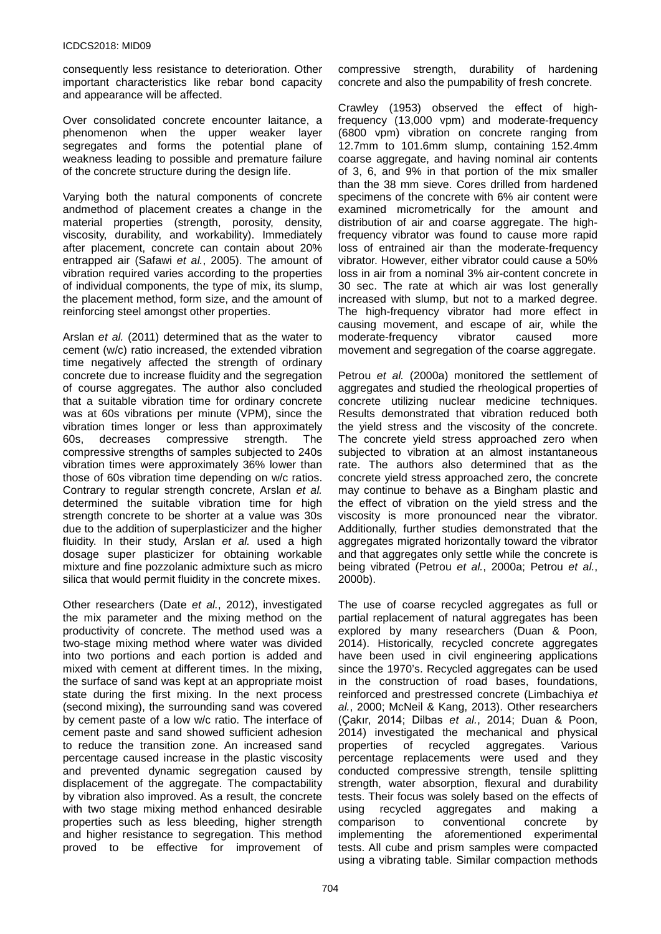consequently less resistance to deterioration. Other important characteristics like rebar bond capacity and appearance will be affected.

Over consolidated concrete encounter laitance, a phenomenon when the upper weaker layer segregates and forms the potential plane of weakness leading to possible and premature failure of the concrete structure during the design life.

Varying both the natural components of concrete andmethod of placement creates a change in the material properties (strength, porosity, density, viscosity, durability, and workability). Immediately after placement, concrete can contain about 20% entrapped air (Safawi *et al.*, 2005). The amount of vibration required varies according to the properties of individual components, the type of mix, its slump, the placement method, form size, and the amount of reinforcing steel amongst other properties.

Arslan *et al.* (2011) determined that as the water to cement (w/c) ratio increased, the extended vibration time negatively affected the strength of ordinary concrete due to increase fluidity and the segregation of course aggregates. The author also concluded that a suitable vibration time for ordinary concrete was at 60s vibrations per minute (VPM), since the vibration times longer or less than approximately 60s, decreases compressive strength. The compressive strengths of samples subjected to 240s vibration times were approximately 36% lower than those of 60s vibration time depending on w/c ratios. Contrary to regular strength concrete, Arslan *et al.* determined the suitable vibration time for high strength concrete to be shorter at a value was 30s due to the addition of superplasticizer and the higher fluidity. In their study, Arslan *et al.* used a high dosage super plasticizer for obtaining workable mixture and fine pozzolanic admixture such as micro silica that would permit fluidity in the concrete mixes.

Other researchers (Date *et al.*, 2012), investigated the mix parameter and the mixing method on the productivity of concrete. The method used was a two-stage mixing method where water was divided into two portions and each portion is added and mixed with cement at different times. In the mixing, the surface of sand was kept at an appropriate moist state during the first mixing. In the next process (second mixing), the surrounding sand was covered by cement paste of a low w/c ratio. The interface of cement paste and sand showed sufficient adhesion to reduce the transition zone. An increased sand percentage caused increase in the plastic viscosity and prevented dynamic segregation caused by displacement of the aggregate. The compactability by vibration also improved. As a result, the concrete with two stage mixing method enhanced desirable properties such as less bleeding, higher strength and higher resistance to segregation. This method proved to be effective for improvement of

compressive strength, durability of hardening concrete and also the pumpability of fresh concrete.

Crawley (1953) observed the effect of highfrequency (13,000 vpm) and moderate-frequency (6800 vpm) vibration on concrete ranging from 12.7mm to 101.6mm slump, containing 152.4mm coarse aggregate, and having nominal air contents of 3, 6, and 9% in that portion of the mix smaller than the 38 mm sieve. Cores drilled from hardened specimens of the concrete with 6% air content were examined micrometrically for the amount and distribution of air and coarse aggregate. The highfrequency vibrator was found to cause more rapid loss of entrained air than the moderate-frequency vibrator. However, either vibrator could cause a 50% loss in air from a nominal 3% air-content concrete in 30 sec. The rate at which air was lost generally increased with slump, but not to a marked degree. The high-frequency vibrator had more effect in causing movement, and escape of air, while the moderate-frequency vibrator caused more movement and segregation of the coarse aggregate.

Petrou *et al.* (2000a) monitored the settlement of aggregates and studied the rheological properties of concrete utilizing nuclear medicine techniques. Results demonstrated that vibration reduced both the yield stress and the viscosity of the concrete. The concrete yield stress approached zero when subjected to vibration at an almost instantaneous rate. The authors also determined that as the concrete yield stress approached zero, the concrete may continue to behave as a Bingham plastic and the effect of vibration on the yield stress and the viscosity is more pronounced near the vibrator. Additionally, further studies demonstrated that the aggregates migrated horizontally toward the vibrator and that aggregates only settle while the concrete is being vibrated (Petrou *et al.*, 2000a; Petrou *et al.*, 2000b).

The use of coarse recycled aggregates as full or partial replacement of natural aggregates has been explored by many researchers (Duan & Poon, 2014). Historically, recycled concrete aggregates have been used in civil engineering applications since the 1970's. Recycled aggregates can be used in the construction of road bases, foundations, reinforced and prestressed concrete (Limbachiya *et al.*, 2000; McNeil & Kang, 2013). Other researchers (Çakır, 2014; Dilbas *et al.*, 2014; Duan & Poon, 2014) investigated the mechanical and physical properties of recycled aggregates. Various percentage replacements were used and they conducted compressive strength, tensile splitting strength, water absorption, flexural and durability tests. Their focus was solely based on the effects of using recycled aggregates and making a comparison to conventional concrete by implementing the aforementioned experimental tests. All cube and prism samples were compacted using a vibrating table. Similar compaction methods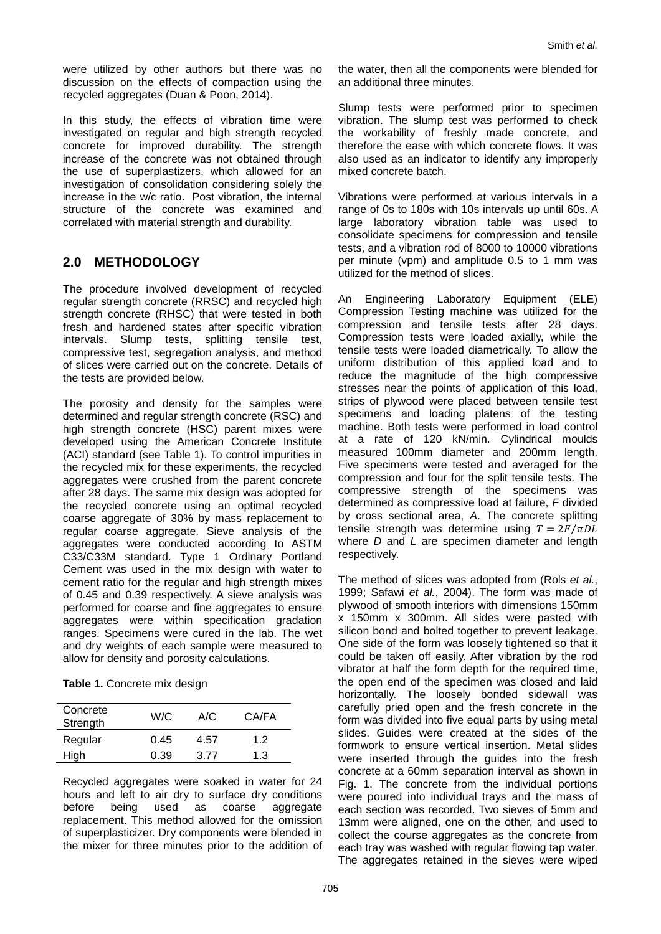were utilized by other authors but there was no discussion on the effects of compaction using the recycled aggregates (Duan & Poon, 2014).

In this study, the effects of vibration time were investigated on regular and high strength recycled concrete for improved durability. The strength increase of the concrete was not obtained through the use of superplastizers, which allowed for an investigation of consolidation considering solely the increase in the w/c ratio. Post vibration, the internal structure of the concrete was examined and correlated with material strength and durability.

# **2.0 METHODOLOGY**

The procedure involved development of recycled regular strength concrete (RRSC) and recycled high strength concrete (RHSC) that were tested in both fresh and hardened states after specific vibration intervals. Slump tests, splitting tensile test, compressive test, segregation analysis, and method of slices were carried out on the concrete. Details of the tests are provided below.

The porosity and density for the samples were determined and regular strength concrete (RSC) and high strength concrete (HSC) parent mixes were developed using the American Concrete Institute (ACI) standard (see [Table 1\)](#page-2-0). To control impurities in the recycled mix for these experiments, the recycled aggregates were crushed from the parent concrete after 28 days. The same mix design was adopted for the recycled concrete using an optimal recycled coarse aggregate of 30% by mass replacement to regular coarse aggregate. Sieve analysis of the aggregates were conducted according to ASTM C33/C33M standard. Type 1 Ordinary Portland Cement was used in the mix design with water to cement ratio for the regular and high strength mixes of 0.45 and 0.39 respectively. A sieve analysis was performed for coarse and fine aggregates to ensure aggregates were within specification gradation ranges. Specimens were cured in the lab. The wet and dry weights of each sample were measured to allow for density and porosity calculations.

<span id="page-2-0"></span>

| Concrete<br>Strength | W/C  | A/C  | CA/FA |
|----------------------|------|------|-------|
| Regular              | 0.45 | 4.57 | 1.2   |
| High                 | 0.39 | 3.77 | 1.3   |

Recycled aggregates were soaked in water for 24 hours and left to air dry to surface dry conditions before being used as coarse aggregate replacement. This method allowed for the omission of superplasticizer. Dry components were blended in the mixer for three minutes prior to the addition of

the water, then all the components were blended for an additional three minutes.

Slump tests were performed prior to specimen vibration. The slump test was performed to check the workability of freshly made concrete, and therefore the ease with which concrete flows. It was also used as an indicator to identify any improperly mixed concrete batch.

Vibrations were performed at various intervals in a range of 0s to 180s with 10s intervals up until 60s. A large laboratory vibration table was used to consolidate specimens for compression and tensile tests, and a vibration rod of 8000 to 10000 vibrations per minute (vpm) and amplitude 0.5 to 1 mm was utilized for the method of slices.

An Engineering Laboratory Equipment (ELE) Compression Testing machine was utilized for the compression and tensile tests after 28 days. Compression tests were loaded axially, while the tensile tests were loaded diametrically. To allow the uniform distribution of this applied load and to reduce the magnitude of the high compressive stresses near the points of application of this load, strips of plywood were placed between tensile test specimens and loading platens of the testing machine. Both tests were performed in load control at a rate of 120 kN/min. Cylindrical moulds measured 100mm diameter and 200mm length. Five specimens were tested and averaged for the compression and four for the split tensile tests. The compressive strength of the specimens was determined as compressive load at failure, *F* divided by cross sectional area, *A*. The concrete splitting tensile strength was determine using  $T = 2F/\pi DL$ where *D* and *L* are specimen diameter and length respectively.

The method of slices was adopted from (Rols *et al.*, 1999; Safawi *et al.*, 2004). The form was made of plywood of smooth interiors with dimensions 150mm x 150mm x 300mm. All sides were pasted with silicon bond and bolted together to prevent leakage. One side of the form was loosely tightened so that it could be taken off easily. After vibration by the rod vibrator at half the form depth for the required time, the open end of the specimen was closed and laid horizontally. The loosely bonded sidewall was carefully pried open and the fresh concrete in the form was divided into five equal parts by using metal slides. Guides were created at the sides of the formwork to ensure vertical insertion. Metal slides were inserted through the guides into the fresh concrete at a 60mm separation interval as shown in [Fig. 1.](#page-3-0) The concrete from the individual portions were poured into individual trays and the mass of each section was recorded. Two sieves of 5mm and 13mm were aligned, one on the other, and used to collect the course aggregates as the concrete from each tray was washed with regular flowing tap water. The aggregates retained in the sieves were wiped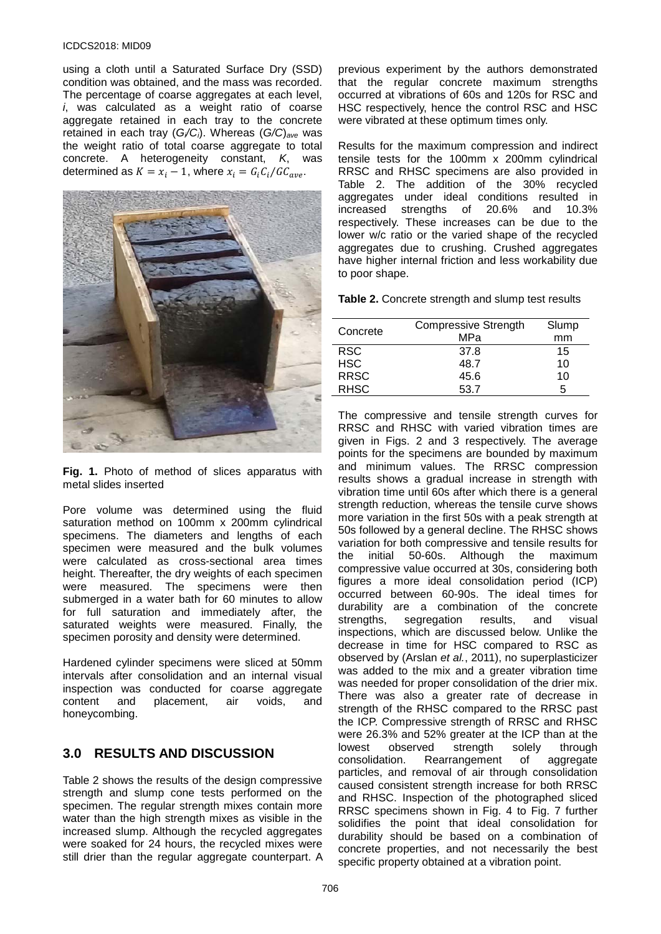#### ICDCS2018: MID09

using a cloth until a Saturated Surface Dry (SSD) condition was obtained, and the mass was recorded. The percentage of coarse aggregates at each level, *i*, was calculated as a weight ratio of coarse aggregate retained in each tray to the concrete retained in each tray (*Gi/Ci*). Whereas (*G/C*)*ave* was the weight ratio of total coarse aggregate to total concrete. A heterogeneity constant, *K*, was determined as  $K = x_i - 1$ , where  $x_i = G_i C_i / G C_{ave}$ .



<span id="page-3-0"></span>**Fig. 1.** Photo of method of slices apparatus with metal slides inserted

Pore volume was determined using the fluid saturation method on 100mm x 200mm cylindrical specimens. The diameters and lengths of each specimen were measured and the bulk volumes were calculated as cross-sectional area times height. Thereafter, the dry weights of each specimen were measured. The specimens were then submerged in a water bath for 60 minutes to allow for full saturation and immediately after, the saturated weights were measured. Finally, the specimen porosity and density were determined.

Hardened cylinder specimens were sliced at 50mm intervals after consolidation and an internal visual inspection was conducted for coarse aggregate<br>content and placement, air voids, and placement, air voids, and honeycombing.

# **3.0 RESULTS AND DISCUSSION**

[Table 2](#page-3-1) shows the results of the design compressive strength and slump cone tests performed on the specimen. The regular strength mixes contain more water than the high strength mixes as visible in the increased slump. Although the recycled aggregates were soaked for 24 hours, the recycled mixes were still drier than the regular aggregate counterpart. A

previous experiment by the authors demonstrated that the regular concrete maximum strengths occurred at vibrations of 60s and 120s for RSC and HSC respectively, hence the control RSC and HSC were vibrated at these optimum times only.

Results for the maximum compression and indirect tensile tests for the 100mm x 200mm cylindrical RRSC and RHSC specimens are also provided in [Table 2.](#page-3-1) The addition of the 30% recycled aggregates under ideal conditions resulted in increased strengths of 20.6% and 10.3% respectively. These increases can be due to the lower w/c ratio or the varied shape of the recycled aggregates due to crushing. Crushed aggregates have higher internal friction and less workability due to poor shape.

<span id="page-3-1"></span>**Table 2.** Concrete strength and slump test results

| Concrete    | <b>Compressive Strength</b> | Slump |
|-------------|-----------------------------|-------|
|             | MPa                         | mm    |
| <b>RSC</b>  | 37.8                        | 15    |
| <b>HSC</b>  | 48.7                        | 10    |
| <b>RRSC</b> | 45.6                        | 10    |
| <b>RHSC</b> | 53.7                        | 5     |

The compressive and tensile strength curves for RRSC and RHSC with varied vibration times are given in [Figs. 2](#page-4-0) and [3](#page-4-1) respectively. The average points for the specimens are bounded by maximum and minimum values. The RRSC compression results shows a gradual increase in strength with vibration time until 60s after which there is a general strength reduction, whereas the tensile curve shows more variation in the first 50s with a peak strength at 50s followed by a general decline. The RHSC shows variation for both compressive and tensile results for<br>the initial 50-60s. Although the maximum initial 50-60s. Although compressive value occurred at 30s, considering both figures a more ideal consolidation period (ICP) occurred between 60-90s. The ideal times for durability are a combination of the concrete strengths, segregation results, and visual inspections, which are discussed below. Unlike the decrease in time for HSC compared to RSC as observed by (Arslan *et al.*, 2011), no superplasticizer was added to the mix and a greater vibration time was needed for proper consolidation of the drier mix. There was also a greater rate of decrease in strength of the RHSC compared to the RRSC past the ICP. Compressive strength of RRSC and RHSC were 26.3% and 52% greater at the ICP than at the lowest observed strength solely through observed strength solely through<br>tion. Rearrangement of aggregate consolidation. Rearrangement of aggregate particles, and removal of air through consolidation caused consistent strength increase for both RRSC and RHSC. Inspection of the photographed sliced RRSC specimens shown in [Fig. 4](#page-4-2) to [Fig. 7](#page-5-0) further solidifies the point that ideal consolidation for durability should be based on a combination of concrete properties, and not necessarily the best specific property obtained at a vibration point.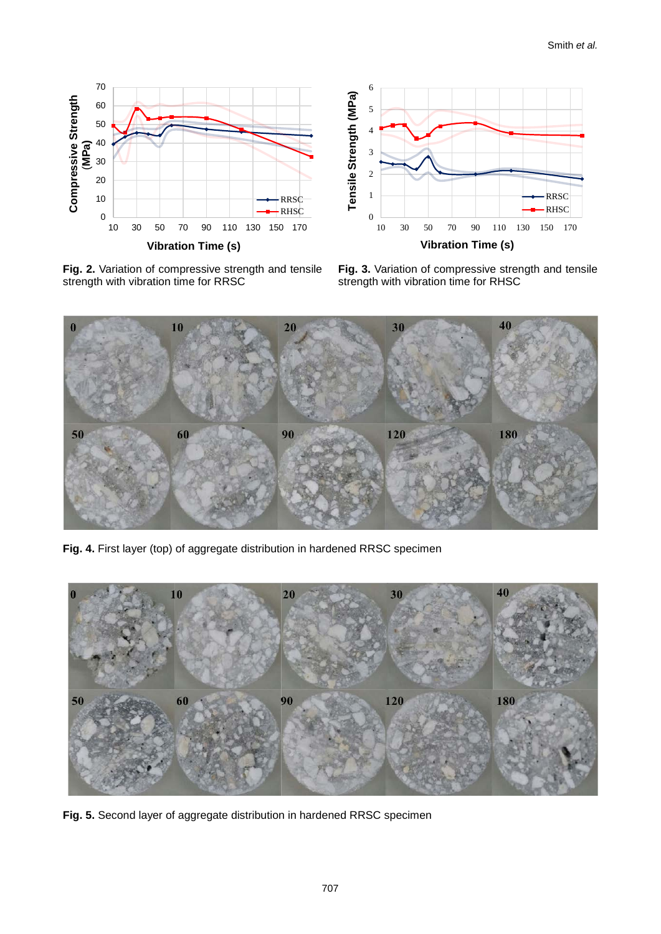



<span id="page-4-0"></span>Fig. 2. Variation of compressive strength and tensile strength with vibration time for RRSC

<span id="page-4-1"></span>**Fig. 3.** Variation of compressive strength and tensile strength with vibration time for RHSC



<span id="page-4-2"></span>**Fig. 4.** First layer (top) of aggregate distribution in hardened RRSC specimen



**Fig. 5.** Second layer of aggregate distribution in hardened RRSC specimen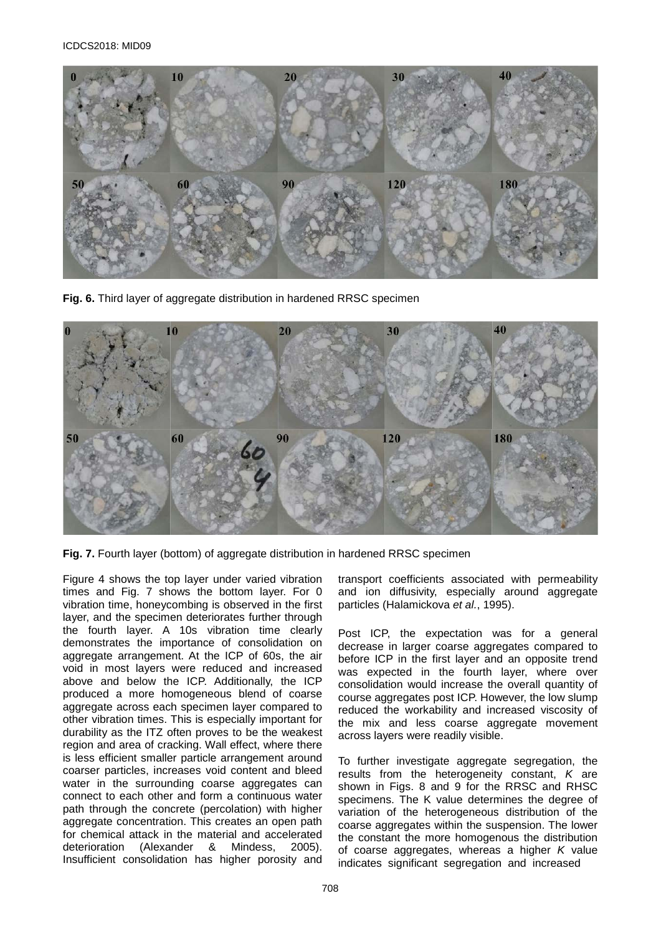

**Fig. 6.** Third layer of aggregate distribution in hardened RRSC specimen



<span id="page-5-0"></span>**Fig. 7.** Fourth layer (bottom) of aggregate distribution in hardened RRSC specimen

[Figure](#page-4-2) 4 shows the top layer under varied vibration times and [Fig. 7](#page-5-0) shows the bottom layer. For 0 vibration time, honeycombing is observed in the first layer, and the specimen deteriorates further through the fourth layer. A 10s vibration time clearly demonstrates the importance of consolidation on aggregate arrangement. At the ICP of 60s, the air void in most layers were reduced and increased above and below the ICP. Additionally, the ICP produced a more homogeneous blend of coarse aggregate across each specimen layer compared to other vibration times. This is especially important for durability as the ITZ often proves to be the weakest region and area of cracking. Wall effect, where there is less efficient smaller particle arrangement around coarser particles, increases void content and bleed water in the surrounding coarse aggregates can connect to each other and form a continuous water path through the concrete (percolation) with higher aggregate concentration. This creates an open path for chemical attack in the material and accelerated deterioration (Alexander & Mindess, 2005). Insufficient consolidation has higher porosity and

transport coefficients associated with permeability and ion diffusivity, especially around aggregate particles (Halamickova *et al.*, 1995).

Post ICP, the expectation was for a general decrease in larger coarse aggregates compared to before ICP in the first layer and an opposite trend was expected in the fourth layer, where over consolidation would increase the overall quantity of course aggregates post ICP. However, the low slump reduced the workability and increased viscosity of the mix and less coarse aggregate movement across layers were readily visible.

To further investigate aggregate segregation, the results from the heterogeneity constant, *K* are shown in [Figs. 8](#page-6-0) and [9](#page-6-1) for the RRSC and RHSC specimens. The K value determines the degree of variation of the heterogeneous distribution of the coarse aggregates within the suspension. The lower the constant the more homogenous the distribution of coarse aggregates, whereas a higher *K* value indicates significant segregation and increased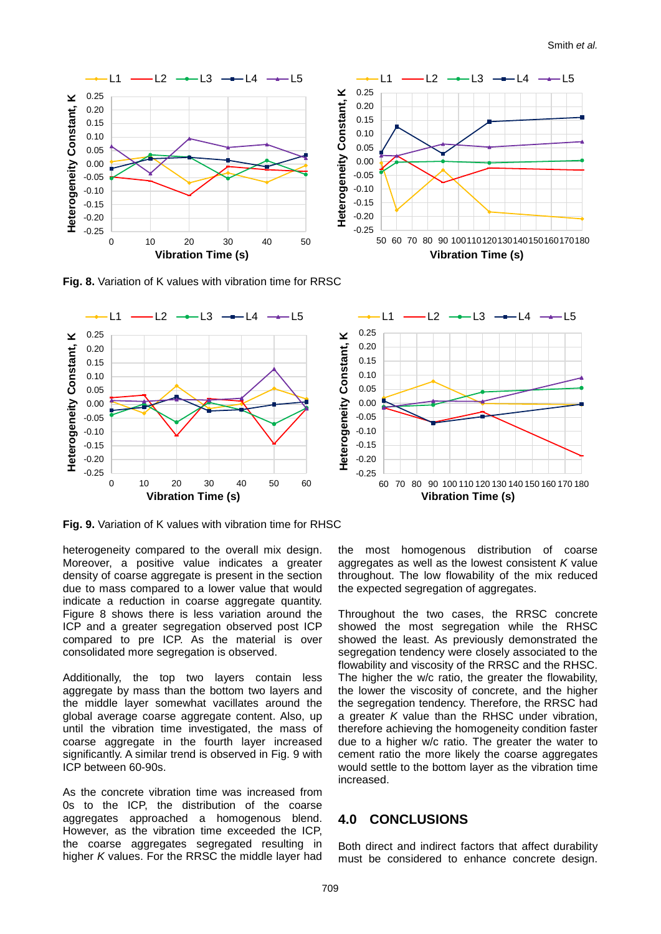

<span id="page-6-0"></span>**Fig. 8.** Variation of K values with vibration time for RRSC



<span id="page-6-1"></span>**Fig. 9.** Variation of K values with vibration time for RHSC

heterogeneity compared to the overall mix design. Moreover, a positive value indicates a greater density of coarse aggregate is present in the section due to mass compared to a lower value that would indicate a reduction in coarse aggregate quantity. [Figure](#page-6-0) 8 shows there is less variation around the ICP and a greater segregation observed post ICP compared to pre ICP. As the material is over consolidated more segregation is observed.

Additionally, the top two layers contain less aggregate by mass than the bottom two layers and the middle layer somewhat vacillates around the global average coarse aggregate content. Also, up until the vibration time investigated, the mass of coarse aggregate in the fourth layer increased significantly. A similar trend is observed in [Fig. 9](#page-6-1) with ICP between 60-90s.

As the concrete vibration time was increased from 0s to the ICP, the distribution of the coarse aggregates approached a homogenous blend. However, as the vibration time exceeded the ICP, the coarse aggregates segregated resulting in higher *K* values. For the RRSC the middle layer had the most homogenous distribution of coarse aggregates as well as the lowest consistent *K* value throughout. The low flowability of the mix reduced the expected segregation of aggregates.

Throughout the two cases, the RRSC concrete showed the most segregation while the RHSC showed the least. As previously demonstrated the segregation tendency were closely associated to the flowability and viscosity of the RRSC and the RHSC. The higher the w/c ratio, the greater the flowability, the lower the viscosity of concrete, and the higher the segregation tendency. Therefore, the RRSC had a greater *K* value than the RHSC under vibration, therefore achieving the homogeneity condition faster due to a higher w/c ratio. The greater the water to cement ratio the more likely the coarse aggregates would settle to the bottom layer as the vibration time increased.

### **4.0 CONCLUSIONS**

Both direct and indirect factors that affect durability must be considered to enhance concrete design.